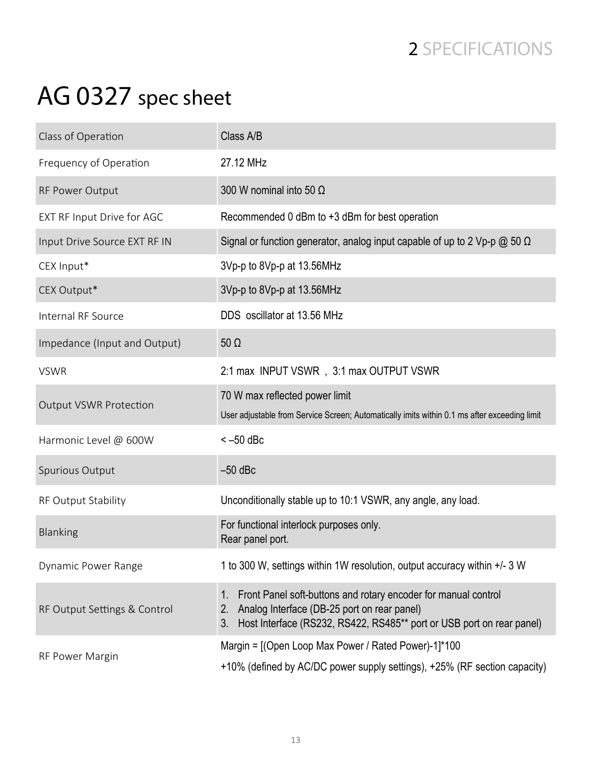## 2 SPECIFICATIONS

## AG 0327 spec sheet

| Class of Operation            | Class A/B                                                                                                                                                                                                |
|-------------------------------|----------------------------------------------------------------------------------------------------------------------------------------------------------------------------------------------------------|
| Frequency of Operation        | 27.12 MHz                                                                                                                                                                                                |
| RF Power Output               | 300 W nominal into 50 $\Omega$                                                                                                                                                                           |
| EXT RF Input Drive for AGC    | Recommended 0 dBm to +3 dBm for best operation                                                                                                                                                           |
| Input Drive Source EXT RF IN  | Signal or function generator, analog input capable of up to 2 Vp-p $\omega$ 50 $\Omega$                                                                                                                  |
| CEX Input*                    | 3Vp-p to 8Vp-p at 13.56MHz                                                                                                                                                                               |
| CEX Output*                   | 3Vp-p to 8Vp-p at 13.56MHz                                                                                                                                                                               |
| Internal RF Source            | DDS oscillator at 13.56 MHz                                                                                                                                                                              |
| Impedance (Input and Output)  | $50 \Omega$                                                                                                                                                                                              |
| <b>VSWR</b>                   | 2:1 max INPUT VSWR, 3:1 max OUTPUT VSWR                                                                                                                                                                  |
| <b>Output VSWR Protection</b> | 70 W max reflected power limit<br>User adjustable from Service Screen; Automatically imits within 0.1 ms after exceeding limit                                                                           |
| Harmonic Level @ 600W         | $<-50$ dBc                                                                                                                                                                                               |
| Spurious Output               | $-50$ dBc                                                                                                                                                                                                |
| RF Output Stability           | Unconditionally stable up to 10:1 VSWR, any angle, any load.                                                                                                                                             |
| <b>Blanking</b>               | For functional interlock purposes only.<br>Rear panel port.                                                                                                                                              |
| <b>Dynamic Power Range</b>    | 1 to 300 W, settings within 1W resolution, output accuracy within +/- 3 W                                                                                                                                |
| RF Output Settings & Control  | Front Panel soft-buttons and rotary encoder for manual control<br>1.<br>Analog Interface (DB-25 port on rear panel)<br>2.<br>Host Interface (RS232, RS422, RS485** port or USB port on rear panel)<br>3. |
| RF Power Margin               | Margin = [(Open Loop Max Power / Rated Power)-1]*100<br>+10% (defined by AC/DC power supply settings), +25% (RF section capacity)                                                                        |